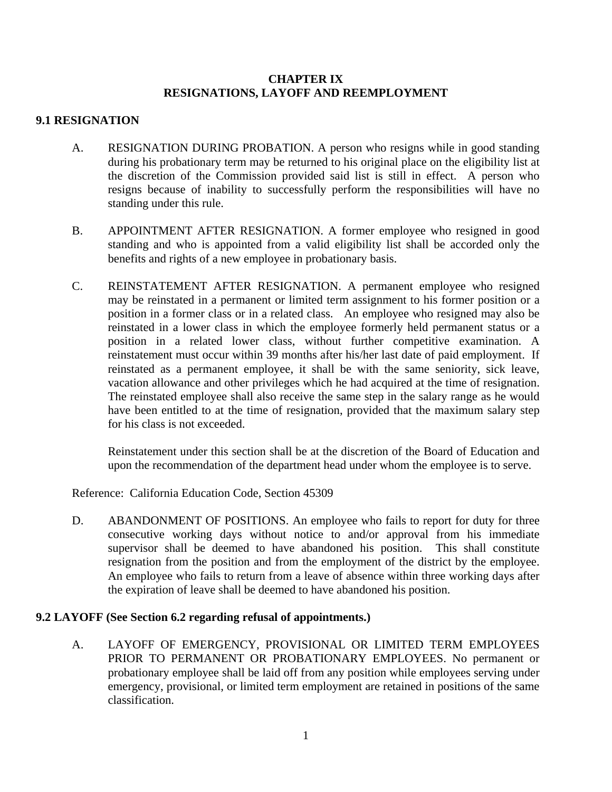## **CHAPTER IX RESIGNATIONS, LAYOFF AND REEMPLOYMENT**

## **9.1 RESIGNATION**

- A. RESIGNATION DURING PROBATION. A person who resigns while in good standing during his probationary term may be returned to his original place on the eligibility list at the discretion of the Commission provided said list is still in effect. A person who resigns because of inability to successfully perform the responsibilities will have no standing under this rule.
- B. APPOINTMENT AFTER RESIGNATION. A former employee who resigned in good standing and who is appointed from a valid eligibility list shall be accorded only the benefits and rights of a new employee in probationary basis.
- C. REINSTATEMENT AFTER RESIGNATION. A permanent employee who resigned may be reinstated in a permanent or limited term assignment to his former position or a position in a former class or in a related class. An employee who resigned may also be reinstated in a lower class in which the employee formerly held permanent status or a position in a related lower class, without further competitive examination. A reinstatement must occur within 39 months after his/her last date of paid employment. If reinstated as a permanent employee, it shall be with the same seniority, sick leave, vacation allowance and other privileges which he had acquired at the time of resignation. The reinstated employee shall also receive the same step in the salary range as he would have been entitled to at the time of resignation, provided that the maximum salary step for his class is not exceeded.

 Reinstatement under this section shall be at the discretion of the Board of Education and upon the recommendation of the department head under whom the employee is to serve.

Reference: California Education Code, Section 45309

D. ABANDONMENT OF POSITIONS. An employee who fails to report for duty for three consecutive working days without notice to and/or approval from his immediate supervisor shall be deemed to have abandoned his position. This shall constitute resignation from the position and from the employment of the district by the employee. An employee who fails to return from a leave of absence within three working days after the expiration of leave shall be deemed to have abandoned his position.

## **9.2 LAYOFF (See Section 6.2 regarding refusal of appointments.)**

A. LAYOFF OF EMERGENCY, PROVISIONAL OR LIMITED TERM EMPLOYEES PRIOR TO PERMANENT OR PROBATIONARY EMPLOYEES. No permanent or probationary employee shall be laid off from any position while employees serving under emergency, provisional, or limited term employment are retained in positions of the same classification.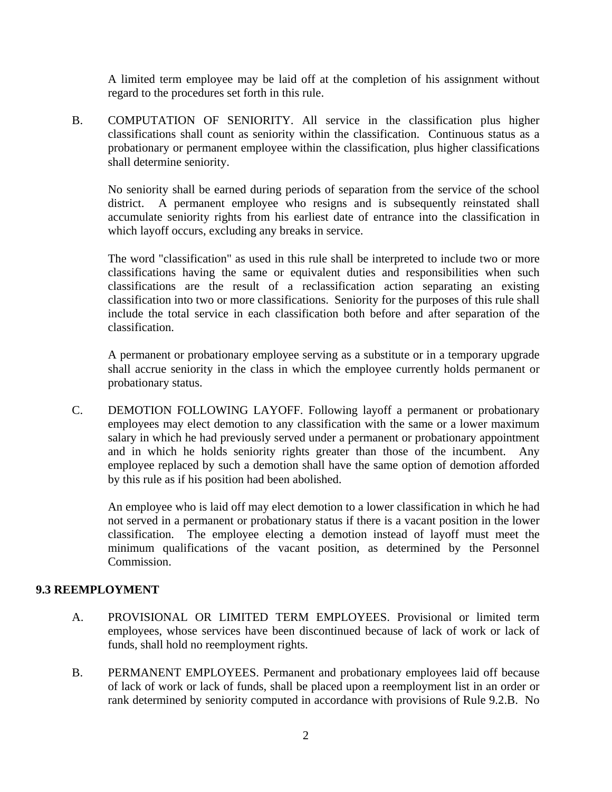A limited term employee may be laid off at the completion of his assignment without regard to the procedures set forth in this rule.

B. COMPUTATION OF SENIORITY. All service in the classification plus higher classifications shall count as seniority within the classification. Continuous status as a probationary or permanent employee within the classification, plus higher classifications shall determine seniority.

 No seniority shall be earned during periods of separation from the service of the school district. A permanent employee who resigns and is subsequently reinstated shall accumulate seniority rights from his earliest date of entrance into the classification in which layoff occurs, excluding any breaks in service.

 The word "classification" as used in this rule shall be interpreted to include two or more classifications having the same or equivalent duties and responsibilities when such classifications are the result of a reclassification action separating an existing classification into two or more classifications. Seniority for the purposes of this rule shall include the total service in each classification both before and after separation of the classification.

 A permanent or probationary employee serving as a substitute or in a temporary upgrade shall accrue seniority in the class in which the employee currently holds permanent or probationary status.

C. DEMOTION FOLLOWING LAYOFF. Following layoff a permanent or probationary employees may elect demotion to any classification with the same or a lower maximum salary in which he had previously served under a permanent or probationary appointment and in which he holds seniority rights greater than those of the incumbent. Any employee replaced by such a demotion shall have the same option of demotion afforded by this rule as if his position had been abolished.

 An employee who is laid off may elect demotion to a lower classification in which he had not served in a permanent or probationary status if there is a vacant position in the lower classification. The employee electing a demotion instead of layoff must meet the minimum qualifications of the vacant position, as determined by the Personnel Commission.

## **9.3 REEMPLOYMENT**

- A. PROVISIONAL OR LIMITED TERM EMPLOYEES. Provisional or limited term employees, whose services have been discontinued because of lack of work or lack of funds, shall hold no reemployment rights.
- B. PERMANENT EMPLOYEES. Permanent and probationary employees laid off because of lack of work or lack of funds, shall be placed upon a reemployment list in an order or rank determined by seniority computed in accordance with provisions of Rule 9.2.B. No